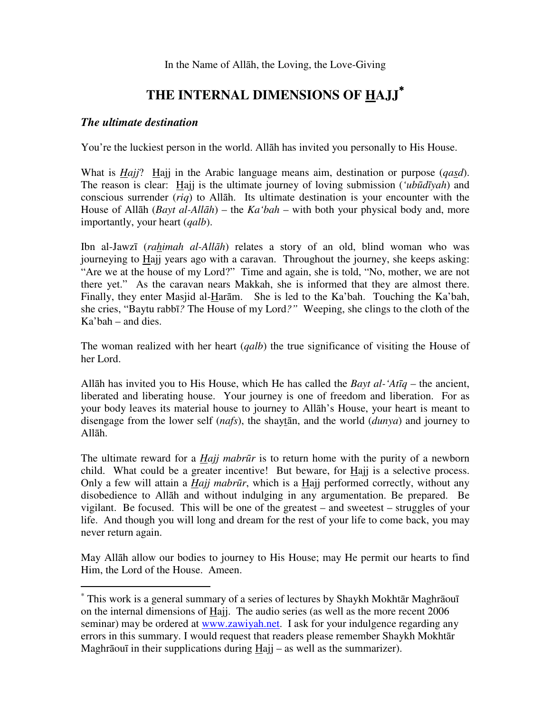In the Name of Allāh, the Loving, the Love-Giving

# **THE INTERNAL DIMENSIONS OF HAJJ**<sup>∗</sup>

### *The ultimate destination*

 $\overline{a}$ 

You're the luckiest person in the world. Allāh has invited you personally to His House.

What is *Hajj*? Hajj in the Arabic language means aim, destination or purpose (*qasd*). The reason is clear: Hajj is the ultimate journey of loving submission (*'ub*ū*d*ī*yah*) and conscious surrender (*riq*) to Allāh. Its ultimate destination is your encounter with the House of Allāh (*Bayt al-All*ā*h*) – the *Ka'bah* – with both your physical body and, more importantly, your heart (*qalb*).

Ibn al-Jawzī (*rahimah al-All*ā*h*) relates a story of an old, blind woman who was journeying to Hajj years ago with a caravan. Throughout the journey, she keeps asking: "Are we at the house of my Lord?" Time and again, she is told, "No, mother, we are not there yet." As the caravan nears Makkah, she is informed that they are almost there. Finally, they enter Masjid al-Harām. She is led to the Ka'bah. Touching the Ka'bah, she cries, "Baytu rabbī*?* The House of my Lord*?"* Weeping, she clings to the cloth of the Ka'bah – and dies.

The woman realized with her heart (*qalb*) the true significance of visiting the House of her Lord.

Allāh has invited you to His House, which He has called the *Bayt al-'At*ī*q* – the ancient, liberated and liberating house. Your journey is one of freedom and liberation. For as your body leaves its material house to journey to Allāh's House, your heart is meant to disengage from the lower self (*nafs*), the shaytān, and the world (*dunya*) and journey to Allāh.

The ultimate reward for a *Hajj mabr*ū*r* is to return home with the purity of a newborn child. What could be a greater incentive! But beware, for  $\underline{H}$ ajj is a selective process. Only a few will attain a *Hajj mabr*ū*r*, which is a Hajj performed correctly, without any disobedience to Allāh and without indulging in any argumentation. Be prepared. Be vigilant. Be focused. This will be one of the greatest – and sweetest – struggles of your life. And though you will long and dream for the rest of your life to come back, you may never return again.

May Allāh allow our bodies to journey to His House; may He permit our hearts to find Him, the Lord of the House. Ameen.

<sup>∗</sup> This work is a general summary of a series of lectures by Shaykh Mokhtār Maghrāouī on the internal dimensions of Hajj. The audio series (as well as the more recent 2006 seminar) may be ordered at www.zawiyah.net. I ask for your indulgence regarding any errors in this summary. I would request that readers please remember Shaykh Mokhtār Maghrāouī in their supplications during  $\text{Hajj}$  – as well as the summarizer).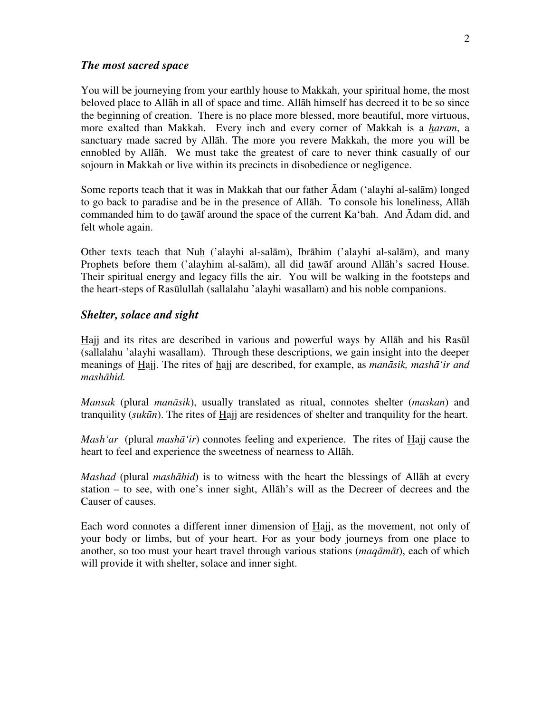#### *The most sacred space*

You will be journeying from your earthly house to Makkah, your spiritual home, the most beloved place to Allāh in all of space and time. Allāh himself has decreed it to be so since the beginning of creation. There is no place more blessed, more beautiful, more virtuous, more exalted than Makkah. Every inch and every corner of Makkah is a *haram*, a sanctuary made sacred by Allāh. The more you revere Makkah, the more you will be ennobled by Allāh. We must take the greatest of care to never think casually of our sojourn in Makkah or live within its precincts in disobedience or negligence.

Some reports teach that it was in Makkah that our father Ādam ('alayhi al-salām) longed to go back to paradise and be in the presence of Allāh. To console his loneliness, Allāh commanded him to do tawāf around the space of the current Ka'bah. And Ādam did, and felt whole again.

Other texts teach that Nuh ('alayhi al-salām), Ibrāhim ('alayhi al-salām), and many Prophets before them ('alayhim al-salām), all did tawāf around Allāh's sacred House. Their spiritual energy and legacy fills the air. You will be walking in the footsteps and the heart-steps of Rasūlullah (sallalahu 'alayhi wasallam) and his noble companions.

### *Shelter, solace and sight*

Hajj and its rites are described in various and powerful ways by Allāh and his Rasūl (sallalahu 'alayhi wasallam). Through these descriptions, we gain insight into the deeper meanings of Hajj. The rites of hajj are described, for example, as *man*ā*sik, mash*ā*'ir and mash*ā*hid.*

*Mansak* (plural *man*ā*sik*), usually translated as ritual, connotes shelter (*maskan*) and tranquility (*suk*ū*n*). The rites of Hajj are residences of shelter and tranquility for the heart.

*Mash'ar* (plural *mash*ā*'ir*) connotes feeling and experience. The rites of Hajj cause the heart to feel and experience the sweetness of nearness to Allāh.

*Mashad* (plural *mash*ā*hid*) is to witness with the heart the blessings of Allāh at every station – to see, with one's inner sight, Allāh's will as the Decreer of decrees and the Causer of causes.

Each word connotes a different inner dimension of Hajj, as the movement, not only of your body or limbs, but of your heart. For as your body journeys from one place to another, so too must your heart travel through various stations (*maq*ā*m*ā*t*), each of which will provide it with shelter, solace and inner sight.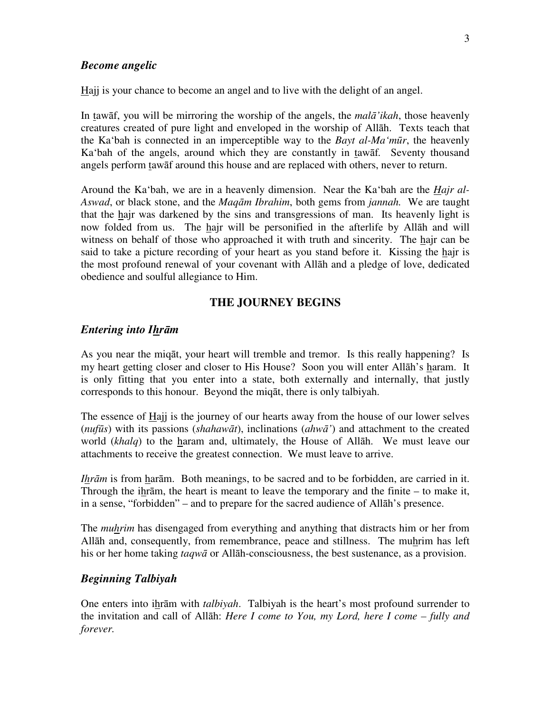#### *Become angelic*

Hajj is your chance to become an angel and to live with the delight of an angel.

In tawāf, you will be mirroring the worship of the angels, the *mal*ā*'ikah*, those heavenly creatures created of pure light and enveloped in the worship of Allāh. Texts teach that the Ka'bah is connected in an imperceptible way to the *Bayt al-Ma'm*ū*r*, the heavenly Ka'bah of the angels, around which they are constantly in tawāf*.* Seventy thousand angels perform tawāf around this house and are replaced with others, never to return.

Around the Ka'bah, we are in a heavenly dimension. Near the Ka'bah are the *Hajr al-Aswad*, or black stone, and the *Maq*ā*m Ibrahim*, both gems from *jannah.* We are taught that the hajr was darkened by the sins and transgressions of man. Its heavenly light is now folded from us. The hajr will be personified in the afterlife by Allāh and will witness on behalf of those who approached it with truth and sincerity. The hajr can be said to take a picture recording of your heart as you stand before it. Kissing the hajr is the most profound renewal of your covenant with Allāh and a pledge of love, dedicated obedience and soulful allegiance to Him.

### **THE JOURNEY BEGINS**

#### *Entering into Ihr*ā*m*

As you near the miqāt, your heart will tremble and tremor. Is this really happening? Is my heart getting closer and closer to His House? Soon you will enter Allāh's haram. It is only fitting that you enter into a state, both externally and internally, that justly corresponds to this honour. Beyond the miqāt, there is only talbiyah.

The essence of Hajj is the journey of our hearts away from the house of our lower selves (*nuf*ū*s*) with its passions (*shahaw*ā*t*), inclinations (*ahw*ā*'*) and attachment to the created world (*khalq*) to the haram and, ultimately, the House of Allāh. We must leave our attachments to receive the greatest connection. We must leave to arrive.

*Ihrām* is from harām. Both meanings, to be sacred and to be forbidden, are carried in it. Through the ihrām, the heart is meant to leave the temporary and the finite – to make it, in a sense, "forbidden" – and to prepare for the sacred audience of Allāh's presence.

The *muhrim* has disengaged from everything and anything that distracts him or her from Allāh and, consequently, from remembrance, peace and stillness. The muhrim has left his or her home taking *taqw*ā or Allāh-consciousness, the best sustenance, as a provision.

### *Beginning Talbiyah*

One enters into ihrām with *talbiyah*. Talbiyah is the heart's most profound surrender to the invitation and call of Allāh: *Here I come to You, my Lord, here I come – fully and forever.*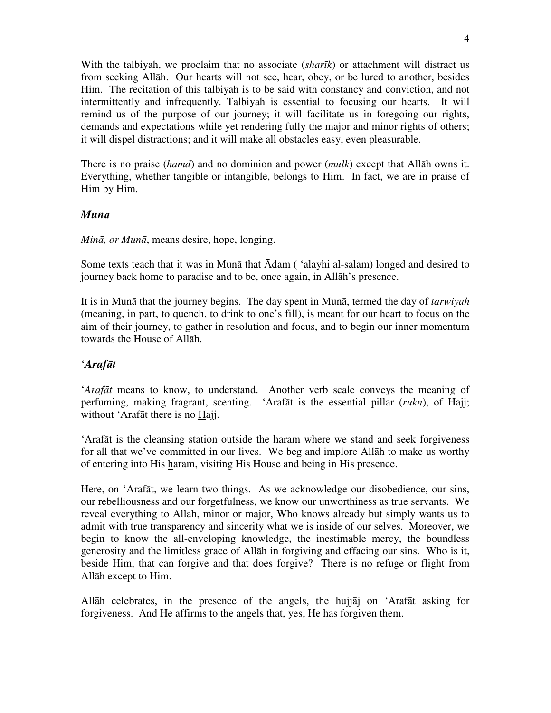With the talbiyah, we proclaim that no associate (*shar*ī*k*) or attachment will distract us from seeking Allāh. Our hearts will not see, hear, obey, or be lured to another, besides Him. The recitation of this talbiyah is to be said with constancy and conviction, and not intermittently and infrequently. Talbiyah is essential to focusing our hearts. It will remind us of the purpose of our journey; it will facilitate us in foregoing our rights, demands and expectations while yet rendering fully the major and minor rights of others; it will dispel distractions; and it will make all obstacles easy, even pleasurable.

There is no praise (*hamd*) and no dominion and power (*mulk*) except that Allāh owns it. Everything, whether tangible or intangible, belongs to Him. In fact, we are in praise of Him by Him.

### *Mun*ā

*Min*ā*, or Mun*ā, means desire, hope, longing.

Some texts teach that it was in Munā that Ādam ( 'alayhi al-salam) longed and desired to journey back home to paradise and to be, once again, in Allāh's presence.

It is in Munā that the journey begins. The day spent in Munā, termed the day of *tarwiyah*  (meaning, in part, to quench, to drink to one's fill), is meant for our heart to focus on the aim of their journey, to gather in resolution and focus, and to begin our inner momentum towards the House of Allāh.

### '*Araf*ā*t*

*'Arafāt* means to know, to understand. Another verb scale conveys the meaning of perfuming, making fragrant, scenting. 'Arafāt is the essential pillar (*rukn*), of Hajj; without 'Arafāt there is no Hajj.

'Arafāt is the cleansing station outside the haram where we stand and seek forgiveness for all that we've committed in our lives. We beg and implore Allāh to make us worthy of entering into His haram, visiting His House and being in His presence.

Here, on 'Arafāt, we learn two things. As we acknowledge our disobedience, our sins, our rebelliousness and our forgetfulness, we know our unworthiness as true servants. We reveal everything to Allāh, minor or major, Who knows already but simply wants us to admit with true transparency and sincerity what we is inside of our selves. Moreover, we begin to know the all-enveloping knowledge, the inestimable mercy, the boundless generosity and the limitless grace of Allāh in forgiving and effacing our sins. Who is it, beside Him, that can forgive and that does forgive? There is no refuge or flight from Allāh except to Him.

Allāh celebrates, in the presence of the angels, the hujjāj on 'Arafāt asking for forgiveness. And He affirms to the angels that, yes, He has forgiven them.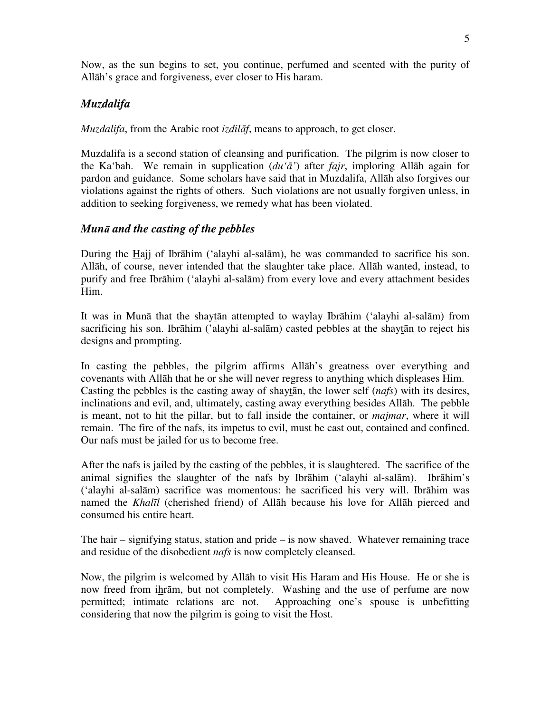Now, as the sun begins to set, you continue, perfumed and scented with the purity of Allāh's grace and forgiveness, ever closer to His haram.

## *Muzdalifa*

*Muzdalifa*, from the Arabic root *izdil*ā*f*, means to approach, to get closer.

Muzdalifa is a second station of cleansing and purification. The pilgrim is now closer to the Ka'bah. We remain in supplication (*du'*ā*'*) after *fajr*, imploring Allāh again for pardon and guidance. Some scholars have said that in Muzdalifa, Allāh also forgives our violations against the rights of others. Such violations are not usually forgiven unless, in addition to seeking forgiveness, we remedy what has been violated.

### *Mun*ā *and the casting of the pebbles*

During the Hajj of Ibrāhim ('alayhi al-salām), he was commanded to sacrifice his son. Allāh, of course, never intended that the slaughter take place. Allāh wanted, instead, to purify and free Ibrāhim ('alayhi al-salām) from every love and every attachment besides Him.

It was in Munā that the shaytān attempted to waylay Ibrāhim ('alayhi al-salām) from sacrificing his son. Ibrāhim ('alayhi al-salām) casted pebbles at the shaytān to reject his designs and prompting.

In casting the pebbles, the pilgrim affirms Allāh's greatness over everything and covenants with Allāh that he or she will never regress to anything which displeases Him. Casting the pebbles is the casting away of shaytān, the lower self (*nafs*) with its desires, inclinations and evil, and, ultimately, casting away everything besides Allāh. The pebble is meant, not to hit the pillar, but to fall inside the container, or *majmar*, where it will remain. The fire of the nafs, its impetus to evil, must be cast out, contained and confined. Our nafs must be jailed for us to become free.

After the nafs is jailed by the casting of the pebbles, it is slaughtered. The sacrifice of the animal signifies the slaughter of the nafs by Ibrāhim ('alayhi al-salām). Ibrāhim's ('alayhi al-salām) sacrifice was momentous: he sacrificed his very will. Ibrāhim was named the *Khal*ī*l* (cherished friend) of Allāh because his love for Allāh pierced and consumed his entire heart.

The hair – signifying status, station and pride – is now shaved. Whatever remaining trace and residue of the disobedient *nafs* is now completely cleansed.

Now, the pilgrim is welcomed by Allāh to visit His Haram and His House. He or she is now freed from ihrām, but not completely. Washing and the use of perfume are now permitted; intimate relations are not. Approaching one's spouse is unbefitting considering that now the pilgrim is going to visit the Host.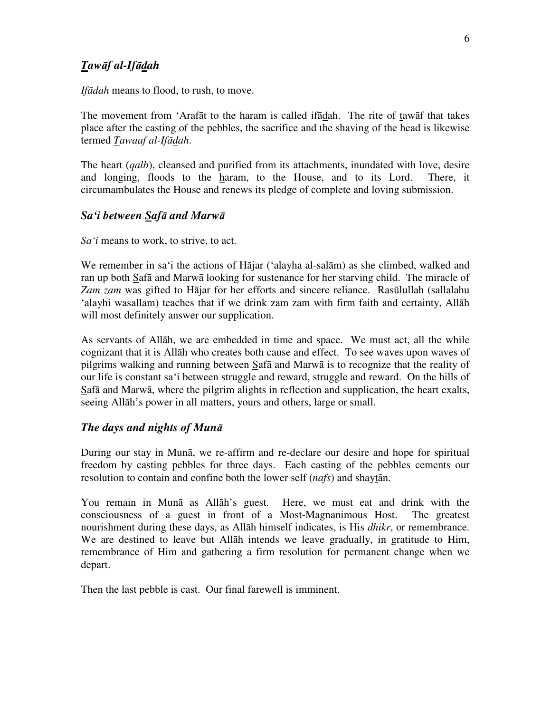### *Taw*ā*f al-If*ā*dah*

*If*ā*dah* means to flood, to rush, to move.

The movement from 'Arafāt to the haram is called ifādah. The rite of tawāf that takes place after the casting of the pebbles, the sacrifice and the shaving of the head is likewise termed *Tawaaf al-If*ā*dah*.

The heart (*qalb*), cleansed and purified from its attachments, inundated with love, desire and longing, floods to the haram, to the House, and to its Lord. There, it circumambulates the House and renews its pledge of complete and loving submission.

### *Sa'i between Saf*ā *and Marw*ā

*Sa'i* means to work, to strive, to act.

We remember in sa'i the actions of Hājar ('alayha al-salām) as she climbed, walked and ran up both Safā and Marwā looking for sustenance for her starving child. The miracle of *Zam zam* was gifted to Hājar for her efforts and sincere reliance. Rasūlullah (sallalahu 'alayhi wasallam) teaches that if we drink zam zam with firm faith and certainty, Allāh will most definitely answer our supplication.

As servants of Allāh, we are embedded in time and space. We must act, all the while cognizant that it is Allāh who creates both cause and effect. To see waves upon waves of pilgrims walking and running between Safā and Marwā is to recognize that the reality of our life is constant sa'i between struggle and reward, struggle and reward. On the hills of Safā and Marwā, where the pilgrim alights in reflection and supplication, the heart exalts, seeing Allāh's power in all matters, yours and others, large or small.

### *The days and nights of Mun*ā

During our stay in Munā, we re-affirm and re-declare our desire and hope for spiritual freedom by casting pebbles for three days. Each casting of the pebbles cements our resolution to contain and confine both the lower self (*nafs*) and shaytān.

You remain in Munā as Allāh's guest. Here, we must eat and drink with the consciousness of a guest in front of a Most-Magnanimous Host. The greatest nourishment during these days, as Allāh himself indicates, is His *dhikr*, or remembrance. We are destined to leave but Allāh intends we leave gradually, in gratitude to Him, remembrance of Him and gathering a firm resolution for permanent change when we depart.

Then the last pebble is cast. Our final farewell is imminent.